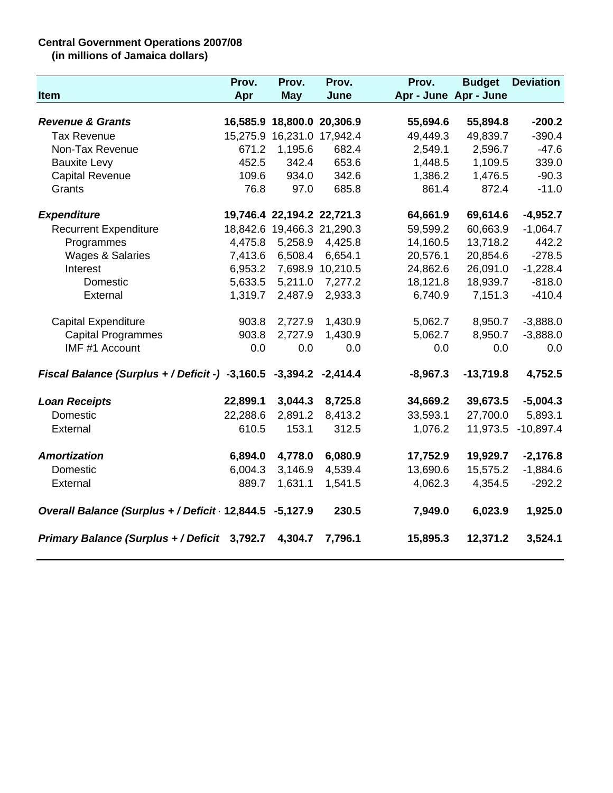## **Central Government Operations 2007/08**

**(in millions of Jamaica dollars)**

|                                                                   | Prov.    | Prov.                      | Prov.            | Prov.      | <b>Budget</b>         | <b>Deviation</b> |
|-------------------------------------------------------------------|----------|----------------------------|------------------|------------|-----------------------|------------------|
| <b>Item</b>                                                       | Apr      | <b>May</b>                 | June             |            | Apr - June Apr - June |                  |
|                                                                   |          |                            |                  |            |                       |                  |
| <b>Revenue &amp; Grants</b>                                       |          | 16,585.9 18,800.0 20,306.9 |                  | 55,694.6   | 55,894.8              | $-200.2$         |
| <b>Tax Revenue</b>                                                |          | 15,275.9 16,231.0 17,942.4 |                  | 49,449.3   | 49,839.7              | $-390.4$         |
| Non-Tax Revenue                                                   | 671.2    | 1,195.6                    | 682.4            | 2,549.1    | 2,596.7               | $-47.6$          |
| <b>Bauxite Levy</b>                                               | 452.5    | 342.4                      | 653.6            | 1,448.5    | 1,109.5               | 339.0            |
| <b>Capital Revenue</b>                                            | 109.6    | 934.0                      | 342.6            | 1,386.2    | 1,476.5               | $-90.3$          |
| Grants                                                            | 76.8     | 97.0                       | 685.8            | 861.4      | 872.4                 | $-11.0$          |
| <b>Expenditure</b>                                                |          | 19,746.4 22,194.2 22,721.3 |                  | 64,661.9   | 69,614.6              | $-4,952.7$       |
| <b>Recurrent Expenditure</b>                                      |          | 18,842.6 19,466.3 21,290.3 |                  | 59,599.2   | 60,663.9              | $-1,064.7$       |
| Programmes                                                        | 4,475.8  | 5,258.9                    | 4,425.8          | 14,160.5   | 13,718.2              | 442.2            |
| Wages & Salaries                                                  | 7,413.6  | 6,508.4                    | 6,654.1          | 20,576.1   | 20,854.6              | $-278.5$         |
| Interest                                                          | 6,953.2  |                            | 7,698.9 10,210.5 | 24,862.6   | 26,091.0              | $-1,228.4$       |
| Domestic                                                          | 5,633.5  | 5,211.0                    | 7,277.2          | 18,121.8   | 18,939.7              | $-818.0$         |
| External                                                          | 1,319.7  | 2,487.9                    | 2,933.3          | 6,740.9    | 7,151.3               | $-410.4$         |
| <b>Capital Expenditure</b>                                        | 903.8    | 2,727.9                    | 1,430.9          | 5,062.7    | 8,950.7               | $-3,888.0$       |
| <b>Capital Programmes</b>                                         | 903.8    | 2,727.9                    | 1,430.9          | 5,062.7    | 8,950.7               | $-3,888.0$       |
| IMF #1 Account                                                    | 0.0      | 0.0                        | 0.0              | 0.0        | 0.0                   | 0.0              |
| Fiscal Balance (Surplus + / Deficit -) -3,160.5 -3,394.2 -2,414.4 |          |                            |                  | $-8,967.3$ | $-13,719.8$           | 4,752.5          |
| <b>Loan Receipts</b>                                              | 22,899.1 | 3,044.3                    | 8,725.8          | 34,669.2   | 39,673.5              | $-5,004.3$       |
| Domestic                                                          | 22,288.6 | 2,891.2                    | 8,413.2          | 33,593.1   | 27,700.0              | 5,893.1          |
| External                                                          | 610.5    | 153.1                      | 312.5            | 1,076.2    | 11,973.5              | $-10,897.4$      |
| <b>Amortization</b>                                               | 6,894.0  | 4,778.0                    | 6,080.9          | 17,752.9   | 19,929.7              | $-2,176.8$       |
| Domestic                                                          | 6,004.3  | 3,146.9                    | 4,539.4          | 13,690.6   | 15,575.2              | $-1,884.6$       |
| External                                                          | 889.7    | 1,631.1                    | 1,541.5          | 4,062.3    | 4,354.5               | $-292.2$         |
| Overall Balance (Surplus + / Deficit 12,844.5 -5,127.9            |          |                            | 230.5            | 7,949.0    | 6,023.9               | 1,925.0          |
| Primary Balance (Surplus + / Deficit 3,792.7                      |          | 4,304.7                    | 7,796.1          | 15,895.3   | 12,371.2              | 3,524.1          |